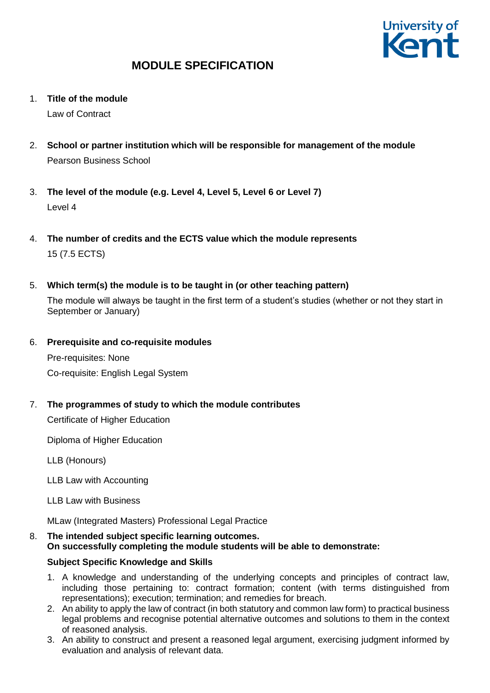

1. **Title of the module**

Law of Contract

- 2. **School or partner institution which will be responsible for management of the module** Pearson Business School
- 3. **The level of the module (e.g. Level 4, Level 5, Level 6 or Level 7)** Level 4
- 4. **The number of credits and the ECTS value which the module represents**  15 (7.5 ECTS)
- 5. **Which term(s) the module is to be taught in (or other teaching pattern)**

The module will always be taught in the first term of a student's studies (whether or not they start in September or January)

6. **Prerequisite and co-requisite modules**

Pre-requisites: None Co-requisite: English Legal System

7. **The programmes of study to which the module contributes**

Certificate of Higher Education

Diploma of Higher Education

LLB (Honours)

LLB Law with Accounting

LLB Law with Business

MLaw (Integrated Masters) Professional Legal Practice

8. **The intended subject specific learning outcomes. On successfully completing the module students will be able to demonstrate:**

## **Subject Specific Knowledge and Skills**

- 1. A knowledge and understanding of the underlying concepts and principles of contract law, including those pertaining to: contract formation; content (with terms distinguished from representations); execution; termination; and remedies for breach.
- 2. An ability to apply the law of contract (in both statutory and common law form) to practical business legal problems and recognise potential alternative outcomes and solutions to them in the context of reasoned analysis.
- 3. An ability to construct and present a reasoned legal argument, exercising judgment informed by evaluation and analysis of relevant data.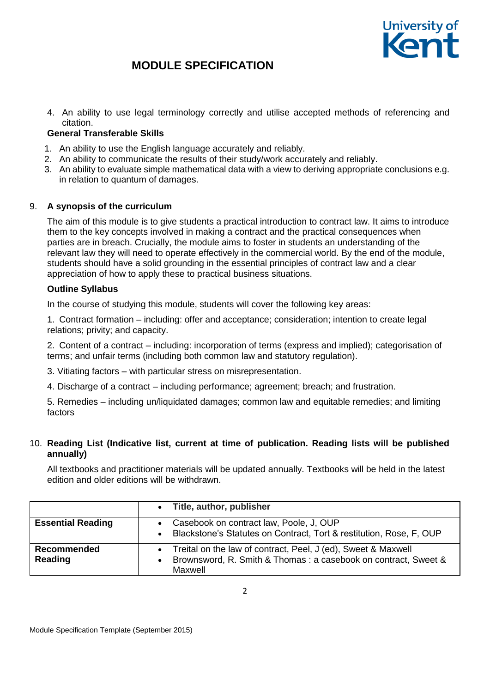

4. An ability to use legal terminology correctly and utilise accepted methods of referencing and citation.

## **General Transferable Skills**

- 1. An ability to use the English language accurately and reliably.
- 2. An ability to communicate the results of their study/work accurately and reliably.
- 3. An ability to evaluate simple mathematical data with a view to deriving appropriate conclusions e.g. in relation to quantum of damages.

## 9. **A synopsis of the curriculum**

The aim of this module is to give students a practical introduction to contract law. It aims to introduce them to the key concepts involved in making a contract and the practical consequences when parties are in breach. Crucially, the module aims to foster in students an understanding of the relevant law they will need to operate effectively in the commercial world. By the end of the module, students should have a solid grounding in the essential principles of contract law and a clear appreciation of how to apply these to practical business situations.

## **Outline Syllabus**

In the course of studying this module, students will cover the following key areas:

1. Contract formation – including: offer and acceptance; consideration; intention to create legal relations; privity; and capacity.

2. Content of a contract – including: incorporation of terms (express and implied); categorisation of terms; and unfair terms (including both common law and statutory regulation).

- 3. Vitiating factors with particular stress on misrepresentation.
- 4. Discharge of a contract including performance; agreement; breach; and frustration.

5. Remedies – including un/liquidated damages; common law and equitable remedies; and limiting factors

## 10. **Reading List (Indicative list, current at time of publication. Reading lists will be published annually)**

All textbooks and practitioner materials will be updated annually. Textbooks will be held in the latest edition and older editions will be withdrawn.

|                          | $\bullet$ | Title, author, publisher                                            |
|--------------------------|-----------|---------------------------------------------------------------------|
| <b>Essential Reading</b> |           | Casebook on contract law, Poole, J, OUP                             |
|                          | $\bullet$ | Blackstone's Statutes on Contract, Tort & restitution, Rose, F, OUP |
| <b>Recommended</b>       | $\bullet$ | Treital on the law of contract, Peel, J (ed), Sweet & Maxwell       |
| Reading                  |           | Brownsword, R. Smith & Thomas: a casebook on contract, Sweet &      |
|                          |           | Maxwell                                                             |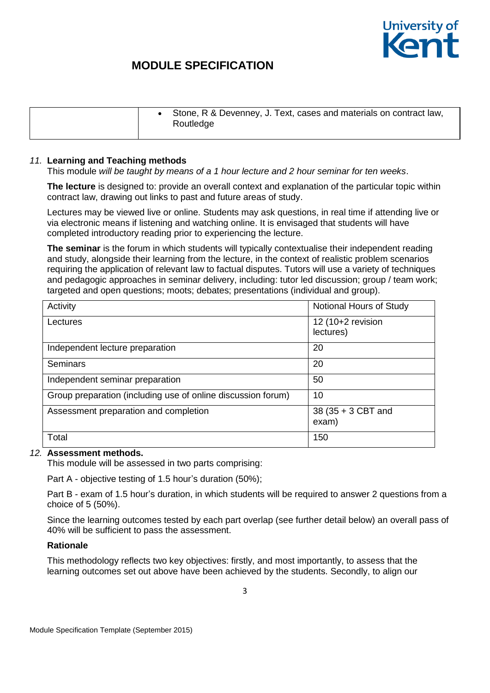

|  | Stone, R & Devenney, J. Text, cases and materials on contract law,<br>Routledge |
|--|---------------------------------------------------------------------------------|
|  |                                                                                 |

### *11.* **Learning and Teaching methods**

This module *will be taught by means of a 1 hour lecture and 2 hour seminar for ten weeks*.

**The lecture** is designed to: provide an overall context and explanation of the particular topic within contract law, drawing out links to past and future areas of study.

Lectures may be viewed live or online. Students may ask questions, in real time if attending live or via electronic means if listening and watching online. It is envisaged that students will have completed introductory reading prior to experiencing the lecture.

**The seminar** is the forum in which students will typically contextualise their independent reading and study, alongside their learning from the lecture, in the context of realistic problem scenarios requiring the application of relevant law to factual disputes. Tutors will use a variety of techniques and pedagogic approaches in seminar delivery, including: tutor led discussion; group / team work; targeted and open questions; moots; debates; presentations (individual and group).

| Activity                                                     | Notional Hours of Study        |
|--------------------------------------------------------------|--------------------------------|
| Lectures                                                     | 12 (10+2 revision<br>lectures) |
| Independent lecture preparation                              | 20                             |
| <b>Seminars</b>                                              | 20                             |
| Independent seminar preparation                              | 50                             |
| Group preparation (including use of online discussion forum) | 10                             |
| Assessment preparation and completion                        | 38 (35 + 3 CBT and<br>exam)    |
| Total                                                        | 150                            |

## *12.* **Assessment methods.**

This module will be assessed in two parts comprising:

Part A - objective testing of 1.5 hour's duration (50%);

Part B - exam of 1.5 hour's duration, in which students will be required to answer 2 questions from a choice of 5 (50%).

Since the learning outcomes tested by each part overlap (see further detail below) an overall pass of 40% will be sufficient to pass the assessment.

### **Rationale**

This methodology reflects two key objectives: firstly, and most importantly, to assess that the learning outcomes set out above have been achieved by the students. Secondly, to align our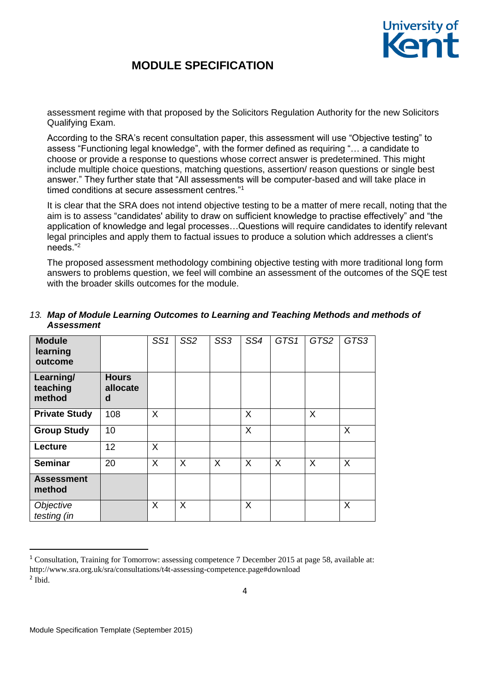

assessment regime with that proposed by the Solicitors Regulation Authority for the new Solicitors Qualifying Exam.

According to the SRA's recent consultation paper, this assessment will use "Objective testing" to assess "Functioning legal knowledge", with the former defined as requiring "… a candidate to choose or provide a response to questions whose correct answer is predetermined. This might include multiple choice questions, matching questions, assertion/ reason questions or single best answer." They further state that "All assessments will be computer-based and will take place in timed conditions at secure assessment centres."<sup>1</sup>

It is clear that the SRA does not intend objective testing to be a matter of mere recall, noting that the aim is to assess "candidates' ability to draw on sufficient knowledge to practise effectively" and "the application of knowledge and legal processes…Questions will require candidates to identify relevant legal principles and apply them to factual issues to produce a solution which addresses a client's needs."<sup>2</sup>

The proposed assessment methodology combining objective testing with more traditional long form answers to problems question, we feel will combine an assessment of the outcomes of the SQE test with the broader skills outcomes for the module.

| <b>Module</b><br>learning<br>outcome |                               | SS <sub>1</sub> | SS <sub>2</sub> | SS <sub>3</sub> | SS4 | GTS1 | GTS2 | GTS3 |
|--------------------------------------|-------------------------------|-----------------|-----------------|-----------------|-----|------|------|------|
| Learning/<br>teaching<br>method      | <b>Hours</b><br>allocate<br>d |                 |                 |                 |     |      |      |      |
| <b>Private Study</b>                 | 108                           | $\sf X$         |                 |                 | X   |      | X    |      |
| <b>Group Study</b>                   | 10                            |                 |                 |                 | X   |      |      | X    |
| Lecture                              | 12 <sup>2</sup>               | X               |                 |                 |     |      |      |      |
| <b>Seminar</b>                       | 20                            | X               | X               | X               | X   | X    | X    | X    |
| <b>Assessment</b><br>method          |                               |                 |                 |                 |     |      |      |      |
| Objective<br>testing (in             |                               | X               | X               |                 | X   |      |      | X    |

## *13. Map of Module Learning Outcomes to Learning and Teaching Methods and methods of Assessment*

1

<sup>1</sup> Consultation, Training for Tomorrow: assessing competence 7 December 2015 at page 58, available at: http://www.sra.org.uk/sra/consultations/t4t-assessing-competence.page#download 2 Ibid.